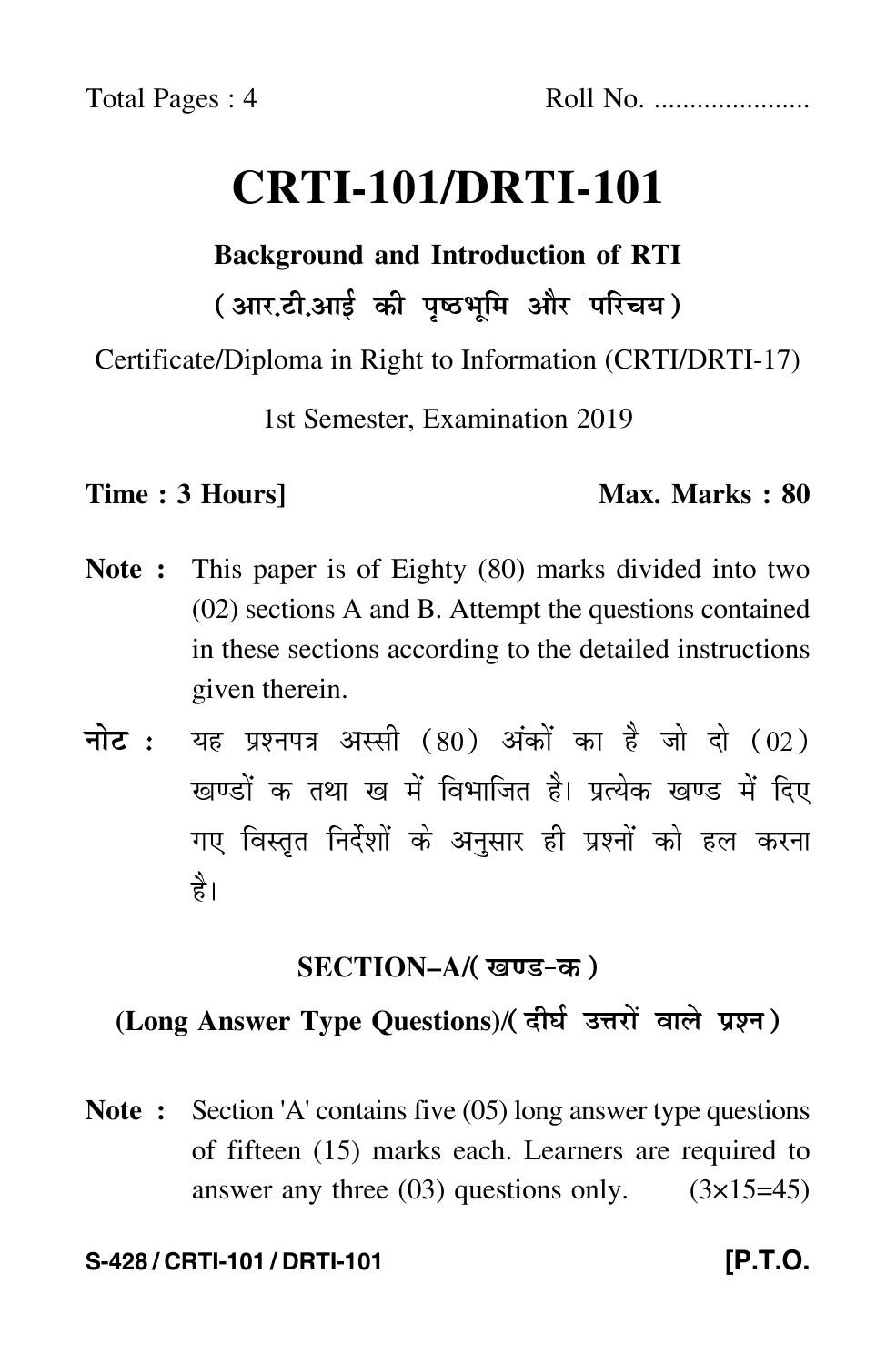# **CRTI-101/DRTI-101**

# **Background and Introduction of RTI** ( आर.टी.आई की पृष्ठभूमि और परिचय )

Certificate/Diploma in Right to Information (CRTI/DRTI-17)

1st Semester, Examination 2019

### **Time : 3 Hours]** Max. Marks : 80

- **Note :** This paper is of Eighty (80) marks divided into two (02) sections A and B. Attempt the questions contained in these sections according to the detailed instructions given therein.
- नोट : यह प्रश्नपत्र अस्सी (80) अंकों का है जो दो (02) खण्डों क तथा ख में विभाजित है। प्रत्येक खण्ड में दिए गए विस्तृत निर्देशों के अनुसार ही प्रश्नों को हल करन<mark>ा</mark> है।

# **SECTION–A/**

# (Long Answer Type Questions)/(दीर्घ उत्तरों वाले प्रश्न)

**Note :** Section 'A' contains five (05) long answer type questions of fifteen (15) marks each. Learners are required to answer any three  $(03)$  questions only.  $(3\times15=45)$ 

### **S-428 / CRTI-101 / DRTI-101 [P.T.O.**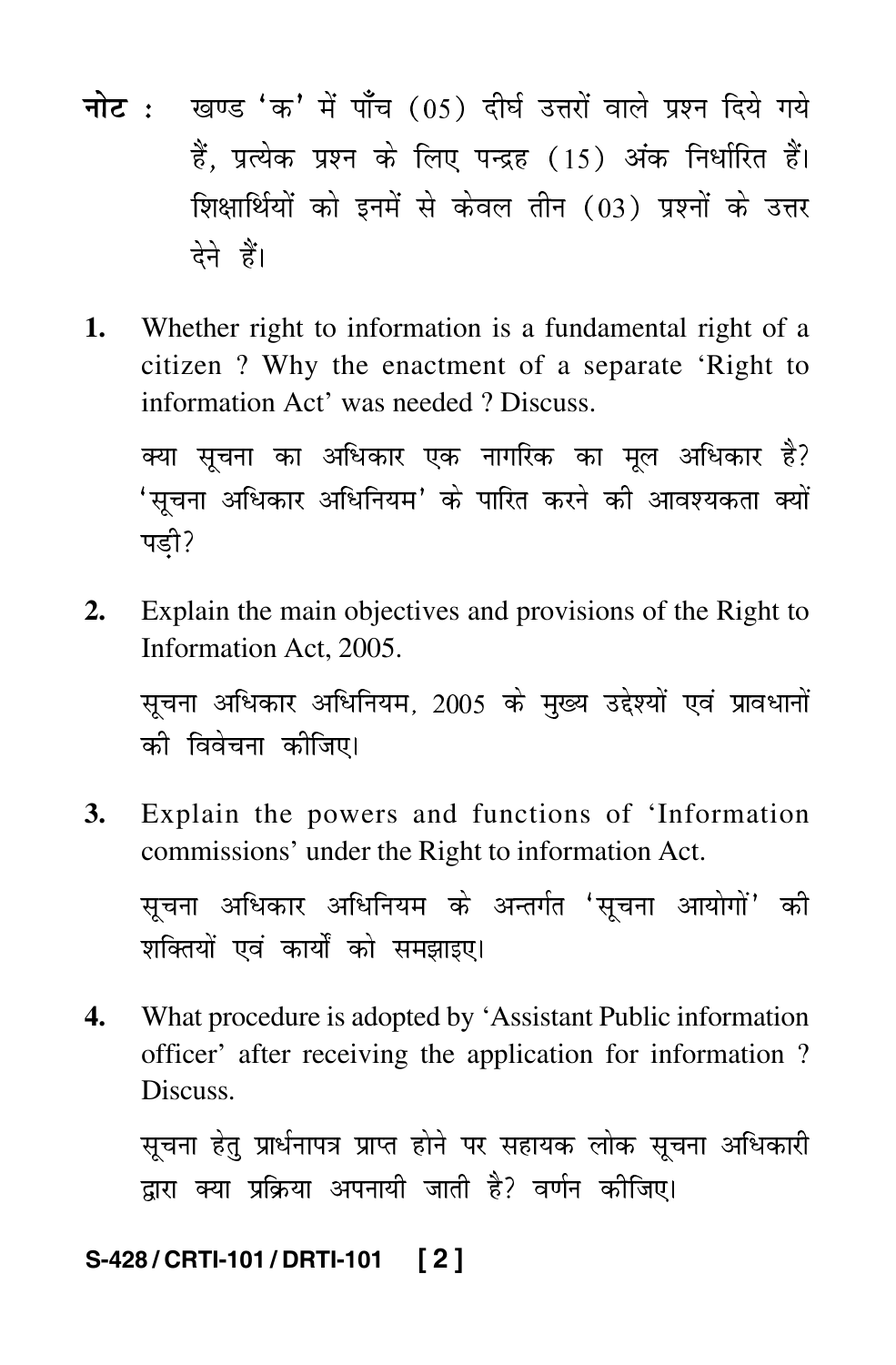- <mark>नोट</mark> : खण्ड 'क' में पाँच (05) दीर्घ उत्तरों वाले प्रश्न दिये गये हैं, प्रत्येक प्रश्न के लिए पन्द्रह (15) अंक निर्धारित हैं। शिक्षार्थियों को इनमें से केवल तीन (03) प्रश्नों के उत्तर देने हैं।
- **1.** Whether right to information is a fundamental right of a citizen ? Why the enactment of a separate 'Right to information Act' was needed ? Discuss.

क्या सूचना का अधिकार एक नागरिक का मूल अधिकार है? 'सूचना अधिकार अधिनियम' के पारित करने की आवश्यकता क्य Ì पड़ी?

**2.** Explain the main objectives and provisions of the Right to Information Act, 2005.

सूचना अधिकार अधिनियम, 2005 के मुख्य उद्देश्यों एवं प्रावधानों को विवेचना कोजिए।

**3.** Explain the powers and functions of 'Information commissions' under the Right to information Act.

सूचना अधिकार अधिनियम के अन्तर्गत 'सूचना आयोगों' की शक्तियों एवं कार्यों को समझाइए।

**4.** What procedure is adopted by 'Assistant Public information officer' after receiving the application for information ? Discuss.

सूचना हेतु प्रार्धनापत्र प्राप्त होने पर सहायक लोक सूचना अधिकारी द्वारा क्या प्रक्रिया अपनायी जाती है? वर्णन कीजिए।

# **S-428 / CRTI-101 / DRTI-101 [ 2 ]**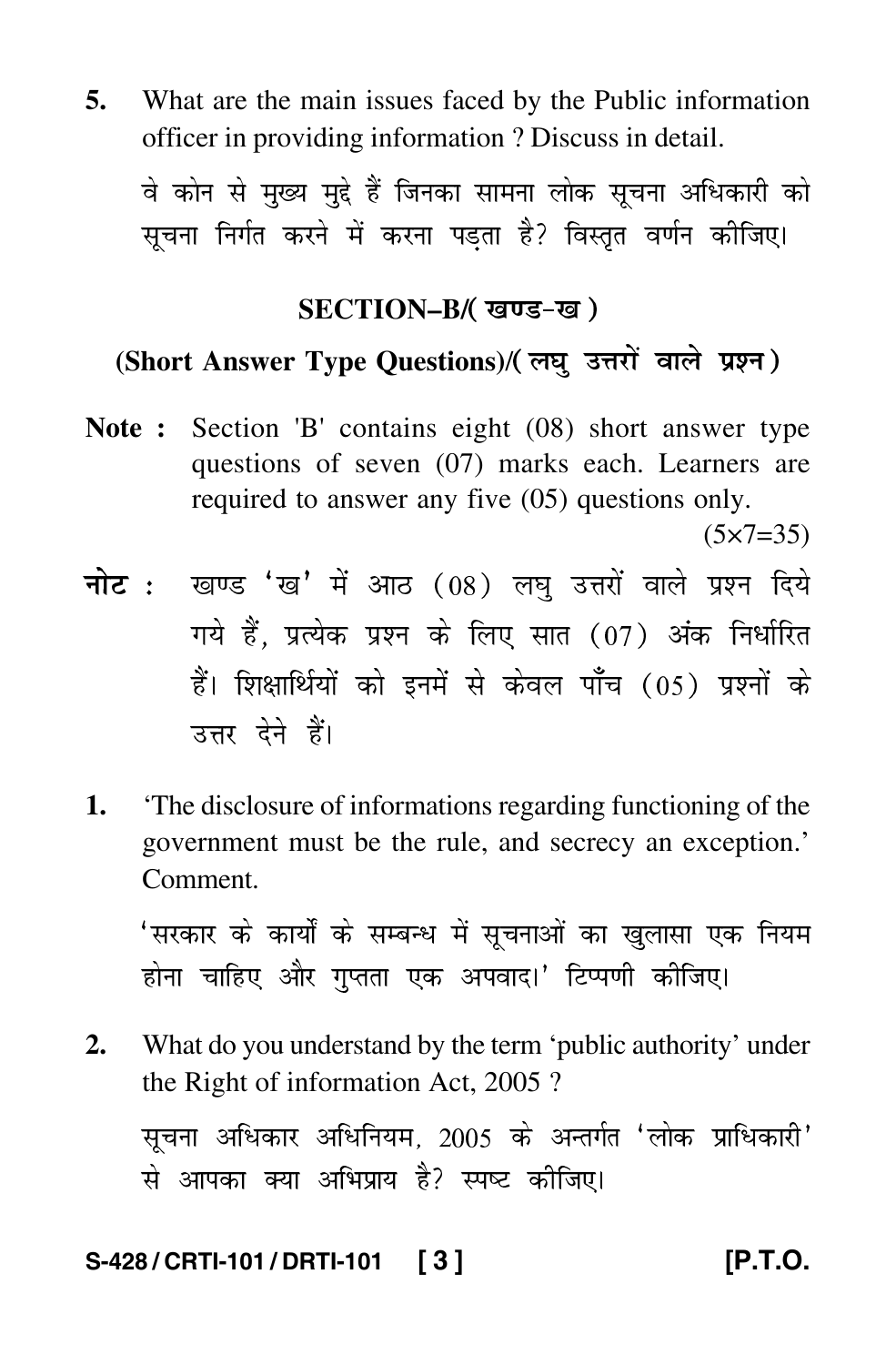**5.** What are the main issues faced by the Public information officer in providing information ? Discuss in detail.

वे कोन से मुख्य मुद्दे हैं जिनका सामना लोक सूचना अधिकारी को सचना निर्गत करने में करना पडता है? विस्तृत वर्णन कीजिए।

### **SECTION–B/**

# (Short Answer Type Questions)/(लघु उत्तरों वाले प्रश्न)

**Note :** Section 'B' contains eight (08) short answer type questions of seven (07) marks each. Learners are required to answer any five (05) questions only.

 $(5 \times 7 = 35)$ 

- <mark>नोट</mark> : खण्ड 'ख' में आठ (08) लघु उत्तरों वाले प्रश्न दिये गये हैं, प्रत्येक प्रश्न के लिए सात (07) अंक निर्धारित हैं। शिक्षार्थियों को इनमें से केवल पाँच (05) प्रश्नों के उत्तर देने हैं।
- **1.** 'The disclosure of informations regarding functioning of the government must be the rule, and secrecy an exception.' Comment.

'सरकार के कार्यों के सम्बन्ध में सूचनाओं का खुलासा एक नियम होना चाहिए और गुप्तता एक अपवाद।' टिप्पणी कीजिए।

**2.** What do you understand by the term 'public authority' under the Right of information Act, 2005 ?

सूचना अधिकार अधिनियम, 2005 के अन्तर्गत 'लोक प्राधिकारी' से आपका क्या अभिप्राय है? स्पष्ट कीजिए।

# **S-428 / CRTI-101 / DRTI-101 [ 3 ] [P.T.O.**